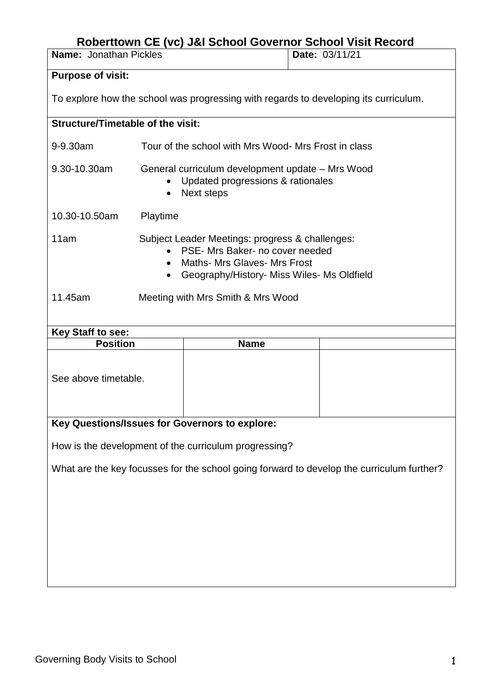## **Roberttown CE (vc) J&I School Governor School Visit Record**

| <b>Name: Jonathan Pickles</b>                                                             |                                                                                                                                                                                      |             | Date: 03/11/21 |  |
|-------------------------------------------------------------------------------------------|--------------------------------------------------------------------------------------------------------------------------------------------------------------------------------------|-------------|----------------|--|
| <b>Purpose of visit:</b>                                                                  |                                                                                                                                                                                      |             |                |  |
| To explore how the school was progressing with regards to developing its curriculum.      |                                                                                                                                                                                      |             |                |  |
| <b>Structure/Timetable of the visit:</b>                                                  |                                                                                                                                                                                      |             |                |  |
| 9-9.30am                                                                                  | Tour of the school with Mrs Wood- Mrs Frost in class                                                                                                                                 |             |                |  |
| 9.30-10.30am                                                                              | General curriculum development update - Mrs Wood<br>Updated progressions & rationales<br>$\bullet$<br>Next steps<br>$\bullet$                                                        |             |                |  |
| 10.30-10.50am                                                                             | Playtime                                                                                                                                                                             |             |                |  |
| 11am                                                                                      | Subject Leader Meetings: progress & challenges:<br>PSE- Mrs Baker- no cover needed<br><b>Maths- Mrs Glaves- Mrs Frost</b><br>Geography/History- Miss Wiles- Ms Oldfield<br>$\bullet$ |             |                |  |
| 11.45am                                                                                   | Meeting with Mrs Smith & Mrs Wood                                                                                                                                                    |             |                |  |
| Key Staff to see:                                                                         |                                                                                                                                                                                      |             |                |  |
| <b>Position</b>                                                                           |                                                                                                                                                                                      | <b>Name</b> |                |  |
| See above timetable.                                                                      |                                                                                                                                                                                      |             |                |  |
| Key Questions/Issues for Governors to explore:                                            |                                                                                                                                                                                      |             |                |  |
| How is the development of the curriculum progressing?                                     |                                                                                                                                                                                      |             |                |  |
| What are the key focusses for the school going forward to develop the curriculum further? |                                                                                                                                                                                      |             |                |  |
|                                                                                           |                                                                                                                                                                                      |             |                |  |
|                                                                                           |                                                                                                                                                                                      |             |                |  |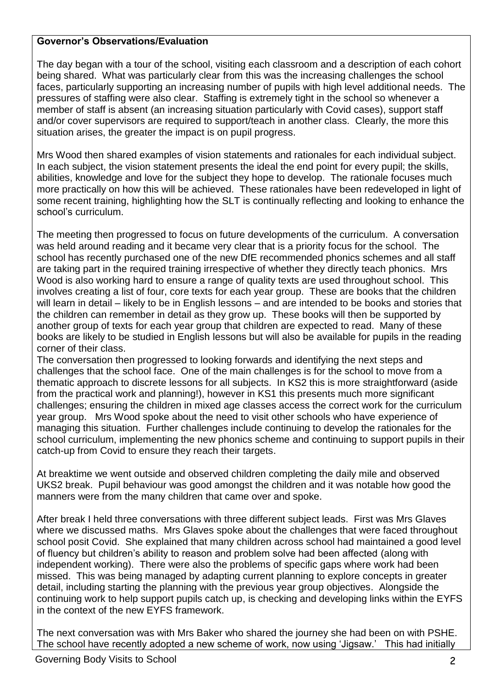## **Governor's Observations/Evaluation**

The day began with a tour of the school, visiting each classroom and a description of each cohort being shared. What was particularly clear from this was the increasing challenges the school faces, particularly supporting an increasing number of pupils with high level additional needs. The pressures of staffing were also clear. Staffing is extremely tight in the school so whenever a member of staff is absent (an increasing situation particularly with Covid cases), support staff and/or cover supervisors are required to support/teach in another class. Clearly, the more this situation arises, the greater the impact is on pupil progress.

Mrs Wood then shared examples of vision statements and rationales for each individual subject. In each subject, the vision statement presents the ideal the end point for every pupil; the skills, abilities, knowledge and love for the subject they hope to develop. The rationale focuses much more practically on how this will be achieved. These rationales have been redeveloped in light of some recent training, highlighting how the SLT is continually reflecting and looking to enhance the school's curriculum.

The meeting then progressed to focus on future developments of the curriculum. A conversation was held around reading and it became very clear that is a priority focus for the school. The school has recently purchased one of the new DfE recommended phonics schemes and all staff are taking part in the required training irrespective of whether they directly teach phonics. Mrs Wood is also working hard to ensure a range of quality texts are used throughout school. This involves creating a list of four, core texts for each year group. These are books that the children will learn in detail – likely to be in English lessons – and are intended to be books and stories that the children can remember in detail as they grow up. These books will then be supported by another group of texts for each year group that children are expected to read. Many of these books are likely to be studied in English lessons but will also be available for pupils in the reading corner of their class.

The conversation then progressed to looking forwards and identifying the next steps and challenges that the school face. One of the main challenges is for the school to move from a thematic approach to discrete lessons for all subjects. In KS2 this is more straightforward (aside from the practical work and planning!), however in KS1 this presents much more significant challenges; ensuring the children in mixed age classes access the correct work for the curriculum year group. Mrs Wood spoke about the need to visit other schools who have experience of managing this situation. Further challenges include continuing to develop the rationales for the school curriculum, implementing the new phonics scheme and continuing to support pupils in their catch-up from Covid to ensure they reach their targets.

At breaktime we went outside and observed children completing the daily mile and observed UKS2 break. Pupil behaviour was good amongst the children and it was notable how good the manners were from the many children that came over and spoke.

After break I held three conversations with three different subject leads. First was Mrs Glaves where we discussed maths. Mrs Glaves spoke about the challenges that were faced throughout school posit Covid. She explained that many children across school had maintained a good level of fluency but children's ability to reason and problem solve had been affected (along with independent working). There were also the problems of specific gaps where work had been missed. This was being managed by adapting current planning to explore concepts in greater detail, including starting the planning with the previous year group objectives. Alongside the continuing work to help support pupils catch up, is checking and developing links within the EYFS in the context of the new EYFS framework.

The next conversation was with Mrs Baker who shared the journey she had been on with PSHE. The school have recently adopted a new scheme of work, now using 'Jigsaw.' This had initially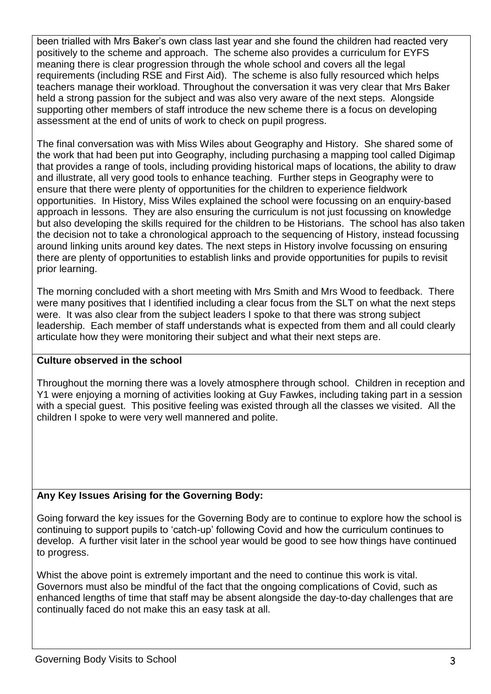been trialled with Mrs Baker's own class last year and she found the children had reacted very positively to the scheme and approach. The scheme also provides a curriculum for EYFS meaning there is clear progression through the whole school and covers all the legal requirements (including RSE and First Aid). The scheme is also fully resourced which helps teachers manage their workload. Throughout the conversation it was very clear that Mrs Baker held a strong passion for the subject and was also very aware of the next steps. Alongside supporting other members of staff introduce the new scheme there is a focus on developing assessment at the end of units of work to check on pupil progress.

The final conversation was with Miss Wiles about Geography and History. She shared some of the work that had been put into Geography, including purchasing a mapping tool called Digimap that provides a range of tools, including providing historical maps of locations, the ability to draw and illustrate, all very good tools to enhance teaching. Further steps in Geography were to ensure that there were plenty of opportunities for the children to experience fieldwork opportunities. In History, Miss Wiles explained the school were focussing on an enquiry-based approach in lessons. They are also ensuring the curriculum is not just focussing on knowledge but also developing the skills required for the children to be Historians. The school has also taken the decision not to take a chronological approach to the sequencing of History, instead focussing around linking units around key dates. The next steps in History involve focussing on ensuring there are plenty of opportunities to establish links and provide opportunities for pupils to revisit prior learning.

The morning concluded with a short meeting with Mrs Smith and Mrs Wood to feedback. There were many positives that I identified including a clear focus from the SLT on what the next steps were. It was also clear from the subject leaders I spoke to that there was strong subject leadership. Each member of staff understands what is expected from them and all could clearly articulate how they were monitoring their subject and what their next steps are.

## **Culture observed in the school**

Throughout the morning there was a lovely atmosphere through school. Children in reception and Y1 were enjoying a morning of activities looking at Guy Fawkes, including taking part in a session with a special guest. This positive feeling was existed through all the classes we visited. All the children I spoke to were very well mannered and polite.

## **Any Key Issues Arising for the Governing Body:**

Going forward the key issues for the Governing Body are to continue to explore how the school is continuing to support pupils to 'catch-up' following Covid and how the curriculum continues to develop. A further visit later in the school year would be good to see how things have continued to progress.

Whist the above point is extremely important and the need to continue this work is vital. Governors must also be mindful of the fact that the ongoing complications of Covid, such as enhanced lengths of time that staff may be absent alongside the day-to-day challenges that are continually faced do not make this an easy task at all.